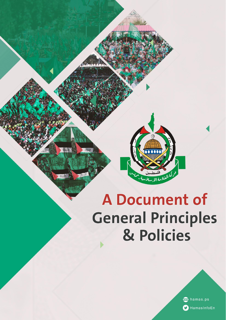

# **A Document of General Principles** & Policies

www hamas.ps HamasInfoEn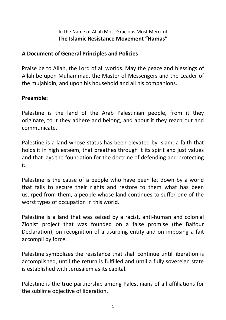In the Name of Allah Most Gracious Most Merciful **The Islamic Resistance Movement "Hamas"**

### **A Document of General Principles and Policies**

Praise be to Allah, the Lord of all worlds. May the peace and blessings of Allah be upon Muhammad, the Master of Messengers and the Leader of the mujahidin, and upon his household and all his companions.

#### **Preamble:**

Palestine is the land of the Arab Palestinian people, from it they originate, to it they adhere and belong, and about it they reach out and communicate.

Palestine is a land whose status has been elevated by Islam, a faith that holds it in high esteem, that breathes through it its spirit and just values and that lays the foundation for the doctrine of defending and protecting it.

Palestine is the cause of a people who have been let down by a world that fails to secure their rights and restore to them what has been usurped from them, a people whose land continues to suffer one of the worst types of occupation in this world.

Palestine is a land that was seized by a racist, anti-human and colonial Zionist project that was founded on a false promise (the Balfour Declaration), on recognition of a usurping entity and on imposing a fait accompli by force.

Palestine symbolizes the resistance that shall continue until liberation is accomplished, until the return is fulfilled and until a fully sovereign state is established with Jerusalem as its capital.

Palestine is the true partnership among Palestinians of all affiliations for the sublime objective of liberation.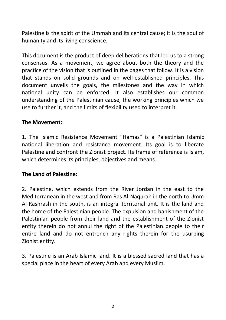Palestine is the spirit of the Ummah and its central cause; it is the soul of humanity and its living conscience.

This document is the product of deep deliberations that led us to a strong consensus. As a movement, we agree about both the theory and the practice of the vision that is outlined in the pages that follow. It is a vision that stands on solid grounds and on well-established principles. This document unveils the goals, the milestones and the way in which national unity can be enforced. It also establishes our common understanding of the Palestinian cause, the working principles which we use to further it, and the limits of flexibility used to interpret it.

## **The Movement:**

1. The Islamic Resistance Movement "Hamas" is a Palestinian Islamic national liberation and resistance movement. Its goal is to liberate Palestine and confront the Zionist project. Its frame of reference is Islam, which determines its principles, objectives and means.

## **The Land of Palestine:**

2. Palestine, which extends from the River Jordan in the east to the Mediterranean in the west and from Ras Al-Naqurah in the north to Umm Al-Rashrash in the south, is an integral territorial unit. It is the land and the home of the Palestinian people. The expulsion and banishment of the Palestinian people from their land and the establishment of the Zionist entity therein do not annul the right of the Palestinian people to their entire land and do not entrench any rights therein for the usurping Zionist entity.

3. Palestine is an Arab Islamic land. It is a blessed sacred land that has a special place in the heart of every Arab and every Muslim.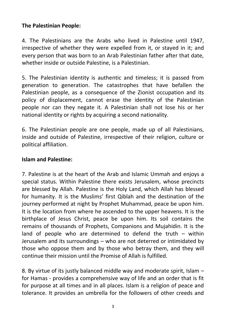## **The Palestinian People:**

4. The Palestinians are the Arabs who lived in Palestine until 1947, irrespective of whether they were expelled from it, or stayed in it; and every person that was born to an Arab Palestinian father after that date, whether inside or outside Palestine, is a Palestinian.

5. The Palestinian identity is authentic and timeless; it is passed from generation to generation. The catastrophes that have befallen the Palestinian people, as a consequence of the Zionist occupation and its policy of displacement, cannot erase the identity of the Palestinian people nor can they negate it. A Palestinian shall not lose his or her national identity or rights by acquiring a second nationality.

6. The Palestinian people are one people, made up of all Palestinians, inside and outside of Palestine, irrespective of their religion, culture or political affiliation.

## **Islam and Palestine:**

7. Palestine is at the heart of the Arab and Islamic Ummah and enjoys a special status. Within Palestine there exists Jerusalem, whose precincts are blessed by Allah. Palestine is the Holy Land, which Allah has blessed for humanity. It is the Muslims' first Qiblah and the destination of the journey performed at night by Prophet Muhammad, peace be upon him. It is the location from where he ascended to the upper heavens. It is the birthplace of Jesus Christ, peace be upon him. Its soil contains the remains of thousands of Prophets, Companions and Mujahidin. It is the land of people who are determined to defend the truth  $-$  within Jerusalem and its surroundings – who are not deterred or intimidated by those who oppose them and by those who betray them, and they will continue their mission until the Promise of Allah is fulfilled.

8. By virtue of its justly balanced middle way and moderate spirit, Islam – for Hamas - provides a comprehensive way of life and an order that is fit for purpose at all times and in all places. Islam is a religion of peace and tolerance. It provides an umbrella for the followers of other creeds and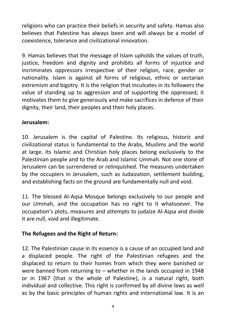religions who can practice their beliefs in security and safety. Hamas also believes that Palestine has always been and will always be a model of coexistence, tolerance and civilizational innovation.

9. Hamas believes that the message of Islam upholds the values of truth, justice, freedom and dignity and prohibits all forms of injustice and incriminates oppressors irrespective of their religion, race, gender or nationality. Islam is against all forms of religious, ethnic or sectarian extremism and bigotry. It is the religion that inculcates in its followers the value of standing up to aggression and of supporting the oppressed; it motivates them to give generously and make sacrifices in defence of their dignity, their land, their peoples and their holy places.

## **Jerusalem:**

10. Jerusalem is the capital of Palestine. Its religious, historic and civilizational status is fundamental to the Arabs, Muslims and the world at large. Its Islamic and Christian holy places belong exclusively to the Palestinian people and to the Arab and Islamic Ummah. Not one stone of Jerusalem can be surrendered or relinquished. The measures undertaken by the occupiers in Jerusalem, such as Judaization, settlement building, and establishing facts on the ground are fundamentally null and void.

11. The blessed Al-Aqsa Mosque belongs exclusively to our people and our Ummah, and the occupation has no right to it whatsoever. The occupation's plots, measures and attempts to judaize Al-Aqsa and divide it are null, void and illegitimate.

# **The Refugees and the Right of Return:**

12. The Palestinian cause in its essence is a cause of an occupied land and a displaced people. The right of the Palestinian refugees and the displaced to return to their homes from which they were banished or were banned from returning to – whether in the lands occupied in 1948 or in 1967 (that is the whole of Palestine), is a natural right, both individual and collective. This right is confirmed by all divine laws as well as by the basic principles of human rights and international law. It is an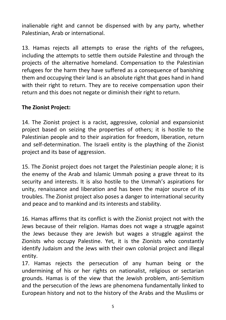inalienable right and cannot be dispensed with by any party, whether Palestinian, Arab or international.

13. Hamas rejects all attempts to erase the rights of the refugees, including the attempts to settle them outside Palestine and through the projects of the alternative homeland. Compensation to the Palestinian refugees for the harm they have suffered as a consequence of banishing them and occupying their land is an absolute right that goes hand in hand with their right to return. They are to receive compensation upon their return and this does not negate or diminish their right to return.

## **The Zionist Project:**

14. The Zionist project is a racist, aggressive, colonial and expansionist project based on seizing the properties of others; it is hostile to the Palestinian people and to their aspiration for freedom, liberation, return and self-determination. The Israeli entity is the plaything of the Zionist project and its base of aggression.

15. The Zionist project does not target the Palestinian people alone; it is the enemy of the Arab and Islamic Ummah posing a grave threat to its security and interests. It is also hostile to the Ummah's aspirations for unity, renaissance and liberation and has been the major source of its troubles. The Zionist project also poses a danger to international security and peace and to mankind and its interests and stability.

16. Hamas affirms that its conflict is with the Zionist project not with the Jews because of their religion. Hamas does not wage a struggle against the Jews because they are Jewish but wages a struggle against the Zionists who occupy Palestine. Yet, it is the Zionists who constantly identify Judaism and the Jews with their own colonial project and illegal entity.

17. Hamas rejects the persecution of any human being or the undermining of his or her rights on nationalist, religious or sectarian grounds. Hamas is of the view that the Jewish problem, anti-Semitism and the persecution of the Jews are phenomena fundamentally linked to European history and not to the history of the Arabs and the Muslims or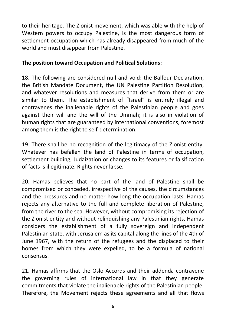to their heritage. The Zionist movement, which was able with the help of Western powers to occupy Palestine, is the most dangerous form of settlement occupation which has already disappeared from much of the world and must disappear from Palestine.

## **The position toward Occupation and Political Solutions:**

18. The following are considered null and void: the Balfour Declaration, the British Mandate Document, the UN Palestine Partition Resolution, and whatever resolutions and measures that derive from them or are similar to them. The establishment of "Israel" is entirely illegal and contravenes the inalienable rights of the Palestinian people and goes against their will and the will of the Ummah; it is also in violation of human rights that are guaranteed by international conventions, foremost among them is the right to self-determination.

19. There shall be no recognition of the legitimacy of the Zionist entity. Whatever has befallen the land of Palestine in terms of occupation, settlement building, Judaization or changes to its features or falsification of facts is illegitimate. Rights never lapse.

20. Hamas believes that no part of the land of Palestine shall be compromised or conceded, irrespective of the causes, the circumstances and the pressures and no matter how long the occupation lasts. Hamas rejects any alternative to the full and complete liberation of Palestine, from the river to the sea. However, without compromising its rejection of the Zionist entity and without relinquishing any Palestinian rights, Hamas considers the establishment of a fully sovereign and independent Palestinian state, with Jerusalem as its capital along the lines of the 4th of June 1967, with the return of the refugees and the displaced to their homes from which they were expelled, to be a formula of national consensus.

21. Hamas affirms that the Oslo Accords and their addenda contravene the governing rules of international law in that they generate commitments that violate the inalienable rights of the Palestinian people. Therefore, the Movement rejects these agreements and all that flows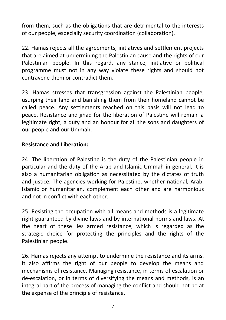from them, such as the obligations that are detrimental to the interests of our people, especially security coordination (collaboration).

22. Hamas rejects all the agreements, initiatives and settlement projects that are aimed at undermining the Palestinian cause and the rights of our Palestinian people. In this regard, any stance, initiative or political programme must not in any way violate these rights and should not contravene them or contradict them.

23. Hamas stresses that transgression against the Palestinian people, usurping their land and banishing them from their homeland cannot be called peace. Any settlements reached on this basis will not lead to peace. Resistance and jihad for the liberation of Palestine will remain a legitimate right, a duty and an honour for all the sons and daughters of our people and our Ummah.

### **Resistance and Liberation:**

24. The liberation of Palestine is the duty of the Palestinian people in particular and the duty of the Arab and Islamic Ummah in general. It is also a humanitarian obligation as necessitated by the dictates of truth and justice. The agencies working for Palestine, whether national, Arab, Islamic or humanitarian, complement each other and are harmonious and not in conflict with each other.

25. Resisting the occupation with all means and methods is a legitimate right guaranteed by divine laws and by international norms and laws. At the heart of these lies armed resistance, which is regarded as the strategic choice for protecting the principles and the rights of the Palestinian people.

26. Hamas rejects any attempt to undermine the resistance and its arms. It also affirms the right of our people to develop the means and mechanisms of resistance. Managing resistance, in terms of escalation or de-escalation, or in terms of diversifying the means and methods, is an integral part of the process of managing the conflict and should not be at the expense of the principle of resistance.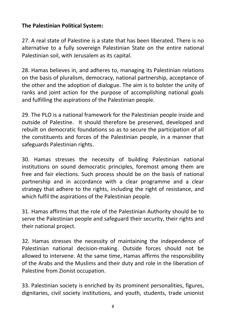# **The Palestinian Political System:**

27. A real state of Palestine is a state that has been liberated. There is no alternative to a fully sovereign Palestinian State on the entire national Palestinian soil, with Jerusalem as its capital.

28. Hamas believes in, and adheres to, managing its Palestinian relations on the basis of pluralism, democracy, national partnership, acceptance of the other and the adoption of dialogue. The aim is to bolster the unity of ranks and joint action for the purpose of accomplishing national goals and fulfilling the aspirations of the Palestinian people.

29. The PLO is a national framework for the Palestinian people inside and outside of Palestine. It should therefore be preserved, developed and rebuilt on democratic foundations so as to secure the participation of all the constituents and forces of the Palestinian people, in a manner that safeguards Palestinian rights.

30. Hamas stresses the necessity of building Palestinian national institutions on sound democratic principles, foremost among them are free and fair elections. Such process should be on the basis of national partnership and in accordance with a clear programme and a clear strategy that adhere to the rights, including the right of resistance, and which fulfil the aspirations of the Palestinian people.

31. Hamas affirms that the role of the Palestinian Authority should be to serve the Palestinian people and safeguard their security, their rights and their national project.

32. Hamas stresses the necessity of maintaining the independence of Palestinian national decision-making. Outside forces should not be allowed to intervene. At the same time, Hamas affirms the responsibility of the Arabs and the Muslims and their duty and role in the liberation of Palestine from Zionist occupation.

33. Palestinian society is enriched by its prominent personalities, figures, dignitaries, civil society institutions, and youth, students, trade unionist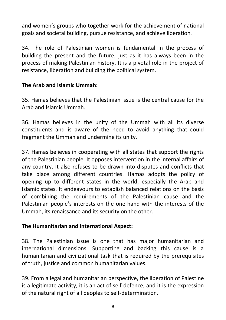and women's groups who together work for the achievement of national goals and societal building, pursue resistance, and achieve liberation.

34. The role of Palestinian women is fundamental in the process of building the present and the future, just as it has always been in the process of making Palestinian history. It is a pivotal role in the project of resistance, liberation and building the political system.

## **The Arab and Islamic Ummah:**

35. Hamas believes that the Palestinian issue is the central cause for the Arab and Islamic Ummah.

36. Hamas believes in the unity of the Ummah with all its diverse constituents and is aware of the need to avoid anything that could fragment the Ummah and undermine its unity.

37. Hamas believes in cooperating with all states that support the rights of the Palestinian people. It opposes intervention in the internal affairs of any country. It also refuses to be drawn into disputes and conflicts that take place among different countries. Hamas adopts the policy of opening up to different states in the world, especially the Arab and Islamic states. It endeavours to establish balanced relations on the basis of combining the requirements of the Palestinian cause and the Palestinian people's interests on the one hand with the interests of the Ummah, its renaissance and its security on the other.

## **The Humanitarian and International Aspect:**

38. The Palestinian issue is one that has major humanitarian and international dimensions. Supporting and backing this cause is a humanitarian and civilizational task that is required by the prerequisites of truth, justice and common humanitarian values.

39. From a legal and humanitarian perspective, the liberation of Palestine is a legitimate activity, it is an act of self-defence, and it is the expression of the natural right of all peoples to self-determination.